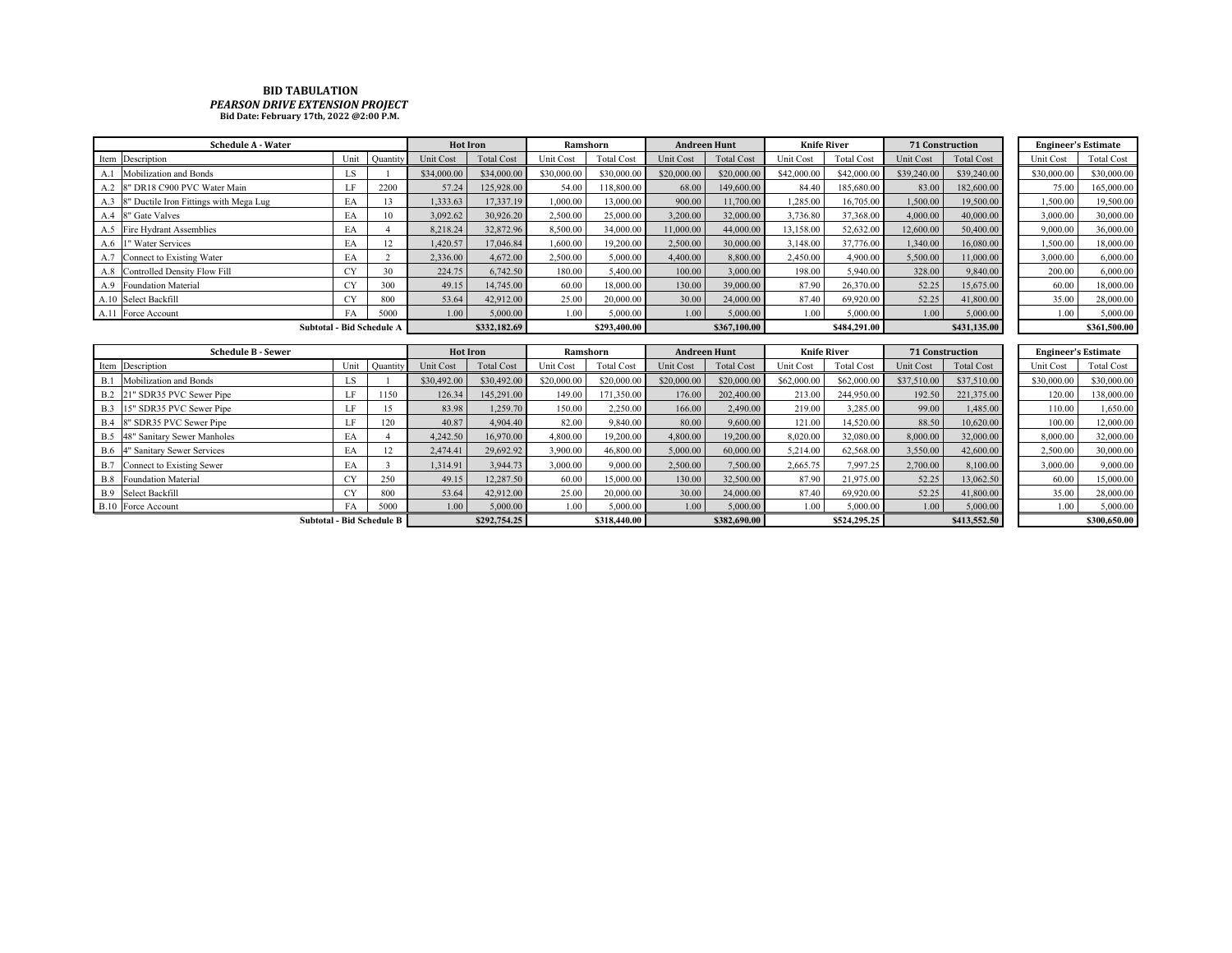## **BID TABULATION** *PEARSON DRIVE EXTENSION PROJECT* **Bid Date: February 17th, 2022 @2:00 P.M.**

| <b>Schedule A - Water</b>                     | <b>Hot Iron</b> |                                           | Ramshorn        |                   | <b>Andreen Hunt</b> |                   | <b>Knife River</b> |                     | <b>71 Construction</b> |                   |                 | <b>Engineer's Estimate</b> |             |                            |
|-----------------------------------------------|-----------------|-------------------------------------------|-----------------|-------------------|---------------------|-------------------|--------------------|---------------------|------------------------|-------------------|-----------------|----------------------------|-------------|----------------------------|
| Item Description                              | Unit            | Quantity                                  | Unit Cost       | <b>Total Cost</b> | Unit Cost           | <b>Total Cost</b> | Unit Cost          | <b>Total Cost</b>   | Unit Cost              | <b>Total Cost</b> | Unit Cost       | <b>Total Cost</b>          | Unit Cost   | <b>Total Cost</b>          |
| Mobilization and Bonds                        | LS.             |                                           | \$34,000.00     | \$34,000.00       | \$30,000.00         | \$30,000.00       | \$20,000.00        | \$20,000.00         | \$42,000.00            | \$42,000.00       | \$39,240.00     | \$39,240.00                | \$30,000.00 | \$30,000.00                |
| 8" DR18 C900 PVC Water Main<br>A.2            | LF              | 2200                                      | 57.24           | 125,928.00        | 54.00               | 118,800.00        | 68.00              | 149,600.00          | 84.40                  | 185,680.00        | 83.00           | 182,600.00                 | 75.00       | 165,000.00                 |
| 8" Ductile Iron Fittings with Mega Lug<br>A.3 | EA              | 13                                        | 1,333.63        | 17,337.19         | 1,000.00            | 13,000.00         | 900.00             | 11,700.00           | 1,285.00               | 16,705.00         | 1,500.00        | 19,500.00                  | 1,500.00    | 19,500.00                  |
| 8" Gate Valves<br>A.4                         | EA              | 10                                        | 3,092.62        | 30,926.20         | 2,500.00            | 25,000.00         | 3,200.00           | 32,000.00           | 3,736.80               | 37,368.00         | 4,000.00        | 40,000.00                  | 3,000.00    | 30,000.00                  |
| Fire Hydrant Assemblies<br>A.5                | EA              |                                           | 8.218.24        | 32,872.96         | 8,500.00            | 34,000.00         | 11,000.00          | 44,000.00           | 13.158.00              | 52,632.00         | 12,600.00       | 50,400.00                  | 9,000.00    | 36,000.00                  |
| 1" Water Services<br>A.6                      | EA              | 12                                        | 1.420.57        | 17,046.84         | 1,600.00            | 19,200.00         | 2,500.00           | 30,000.00           | 3,148.00               | 37,776.00         | 1,340.00        | 16,080.00                  | 1,500.00    | 18,000.00                  |
| Connect to Existing Water<br>A.7              | EA              | 2                                         | 2,336.00        | 4,672.00          | 2,500.00            | 5,000.00          | 4,400.00           | 8,800.00            | 2,450.00               | 4,900.00          | 5,500.00        | 11,000.00                  | 3,000.00    | 6,000.00                   |
| Controlled Density Flow Fill<br>A.8           | CY              | 30                                        | 224.75          | 6,742.50          | 180.00              | 5,400.00          | 100.00             | 3,000.00            | 198.00                 | 5,940.00          | 328.00          | 9,840.00                   | 200.00      | 6,000.00                   |
| <b>Foundation Material</b><br>A.9             | <b>CY</b>       | 300                                       | 49.15           | 14,745.00         | 60.00               | 18,000.00         | 130.00             | 39,000.00           | 87.90                  | 26,370.00         | 52.25           | 15,675.00                  | 60.00       | 18,000.00                  |
| A.10 Select Backfill                          | <b>CY</b>       | 800                                       | 53.64           | 42,912.00         | 25.00               | 20,000.00         | 30.00              | 24,000.00           | 87.40                  | 69,920.00         | 52.25           | 41,800.00                  | 35.00       | 28,000.00                  |
| A.11 Force Account                            | FA              | 5000                                      | 1.00            | 5,000.00          | 1.00                | 5,000.00          | 1.00               | 5,000.00            | 1.00                   | 5,000.00          | 1.00            | 5,000.00                   | 1.00        | 5,000.00                   |
|                                               |                 | Subtotal - Bid Schedule A<br>\$332,182.69 |                 | \$293,400.00      |                     | \$367,100.00      |                    | \$484,291.00        |                        | \$431,135.00      |                 | \$361,500.00               |             |                            |
|                                               |                 |                                           |                 |                   |                     |                   |                    |                     |                        |                   |                 |                            |             |                            |
| <b>Schedule B - Sewer</b>                     |                 |                                           | <b>Hot Iron</b> |                   | Ramshorn            |                   |                    | <b>Andreen Hunt</b> | <b>Knife River</b>     |                   | 71 Construction |                            |             | <b>Engineer's Estimate</b> |
| Item Description                              | Unit            | Quantity                                  | Unit Cost       | <b>Total Cost</b> | Unit Cost           | <b>Total Cost</b> | Unit Cost          | <b>Total Cost</b>   | Unit Cost              | <b>Total Cost</b> | Unit Cost       | <b>Total Cost</b>          | Unit Cost   | <b>Total Cost</b>          |
| Mobilization and Bonds<br>B.1                 | LS.             |                                           | \$30,492.00     | \$30,492.00       | \$20,000.00         | \$20,000.00       | \$20,000.00        | \$20,000.00         | \$62,000.00            | \$62,000.00       | \$37,510.00     | \$37,510.00                | \$30,000.00 | \$30,000.00                |
| 21" SDR35 PVC Sewer Pipe<br>B.2               | LF              | 1150                                      | 126.34          | 145,291.00        | 149.00              | 171,350.00        | 176.00             | 202,400.00          | 213.00                 | 244,950.00        | 192.50          | 221,375.00                 | 120.00      | 138,000.00                 |
| 15" SDR35 PVC Sewer Pipe<br>B.3               | LF              | 15                                        | 83.98           | 1,259.70          | 150.00              | 2,250.00          | 166.00             | 2,490.00            | 219.00                 | 3,285.00          | 99.00           | 1,485.00                   | 110.00      | 1,650.00                   |
| 8" SDR35 PVC Sewer Pipe<br>B.4                | LF              | 120                                       | 40.87           | 4,904.40          | 82.00               | 9,840.00          | 80.00              | 9,600.00            | 121.00                 | 14,520.00         | 88.50           | 10.620.00                  | 100.00      | 12,000.00                  |
| B.5 48" Sanitary Sewer Manholes               | EA              |                                           | 4,242.50        | 16,970.00         | 4,800.00            | 19,200.00         | 4,800.00           | 19,200.00           | 8,020.00               | 32,080.00         | 8,000.00        | 32,000.00                  | 8,000.00    | 32,000.00                  |
| <b>B.6</b><br>4" Sanitary Sewer Services      | EA              | 12                                        | 2,474.41        | 29,692.92         | 3,900.00            | 46,800.00         | 5,000.00           | 60,000.00           | 5.214.00               | 62,568.00         | 3,550.00        | 42,600.00                  | 2,500.00    | 30,000.00                  |
| B.7<br>Connect to Existing Sewer              | EA              | $\mathbf{3}$                              | 1,314.91        | 3.944.73          | 3,000.00            | 9,000.00          | 2,500.00           | 7,500.00            | 2,665.75               | 7,997.25          | 2,700.00        | 8,100.00                   | 3,000.00    | 9,000.00                   |
| <b>Foundation Material</b><br>B.8             | <b>CY</b>       | 250                                       | 49.15           | 12,287.50         | 60.00               | 15,000.00         | 130.00             | 32,500.00           | 87.90                  | 21,975.00         | 52.25           | 13,062.50                  | 60.00       | 15,000.00                  |
| Select Backfill<br><b>B.9</b>                 | <b>CY</b>       | 800                                       | 53.64           | 42,912.00         | 25.00               | 20,000.00         | 30.00              | 24,000.00           | 87.40                  | 69,920.00         | 52.25           | 41,800.00                  | 35.00       | 28,000.00                  |
| <b>B.10</b> Force Account                     | FA              | 5000                                      | 1.00            | 5,000.00          | 1.00                | 5,000.00          | 1.00               | 5,000.00            | 1.00                   | 5,000.00          | 1.00            | 5,000.00                   | 1.00        | 5,000.00                   |
|                                               |                 | <b>Subtotal - Bid Schedule B</b>          |                 | \$292,754.25      |                     | \$318,440.00      |                    | \$382,690.00        |                        | \$524,295.25      |                 | \$413,552.50               |             | \$300,650.00               |